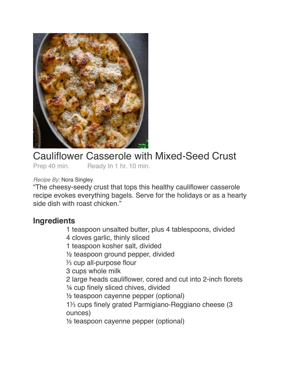

## Cauliflower Casserole with Mixed-Seed Crust

Prep 40 min. Ready In 1 hr. 10 min.

#### *Recipe By:* Nora Singley

"The cheesy-seedy crust that tops this healthy cauliflower casserole recipe evokes everything bagels. Serve for the holidays or as a hearty side dish with roast chicken."

#### **Ingredients**

- 1 teaspoon unsalted butter, plus 4 tablespoons, divided
- 4 cloves garlic, thinly sliced
- 1 teaspoon kosher salt, divided
- $\frac{1}{2}$  teaspoon ground pepper, divided
- $\frac{1}{3}$  cup all-purpose flour
- 3 cups whole milk
- 2 large heads cauliflower, cored and cut into 2-inch florets 1/4 cup finely sliced chives, divided
- $\frac{1}{2}$  teaspoon cayenne pepper (optional)
- 1⅓ cups finely grated Parmigiano-Reggiano cheese (3 ounces)
- $\frac{1}{2}$  teaspoon cayenne pepper (optional)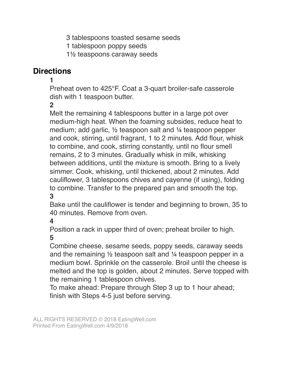3 tablespoons toasted sesame seeds

1 tablespoon poppy seeds

 $1\frac{1}{2}$  teaspoons caraway seeds

### **Directions**

! ! **1**

Preheat oven to 425°F. Coat a 3-quart broiler-safe casserole dish with 1 teaspoon butter.

! ! **2**

Melt the remaining 4 tablespoons butter in a large pot over medium-high heat. When the foaming subsides, reduce heat to medium; add garlic, ½ teaspoon salt and ¼ teaspoon pepper and cook, stirring, until fragrant, 1 to 2 minutes. Add flour, whisk to combine, and cook, stirring constantly, until no flour smell remains, 2 to 3 minutes. Gradually whisk in milk, whisking between additions, until the mixture is smooth. Bring to a lively simmer. Cook, whisking, until thickened, about 2 minutes. Add cauliflower, 3 tablespoons chives and cayenne (if using), folding to combine. Transfer to the prepared pan and smooth the top. ! ! **3**

Bake until the cauliflower is tender and beginning to brown, 35 to 40 minutes. Remove from oven.

! ! **4**

Position a rack in upper third of oven; preheat broiler to high. ! ! **5**

Combine cheese, sesame seeds, poppy seeds, caraway seeds and the remaining ½ teaspoon salt and ¼ teaspoon pepper in a medium bowl. Sprinkle on the casserole. Broil until the cheese is melted and the top is golden, about 2 minutes. Serve topped with the remaining 1 tablespoon chives.

To make ahead: Prepare through Step 3 up to 1 hour ahead; finish with Steps 4-5 just before serving.